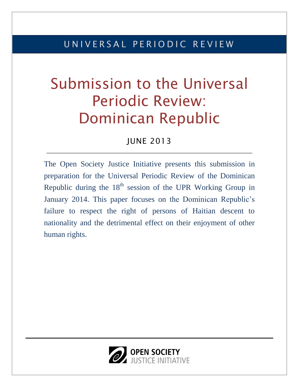# U N I V E R S A L P E R I O D I C R E V I E W

# Submission to the Universal Periodic Review: Dominican Republic

## JUNE 2013

The Open Society Justice Initiative presents this submission in preparation for the Universal Periodic Review of the Dominican Republic during the  $18<sup>th</sup>$  session of the UPR Working Group in January 2014. This paper focuses on the Dominican Republic's failure to respect the right of persons of Haitian descent to nationality and the detrimental effect on their enjoyment of other human rights.

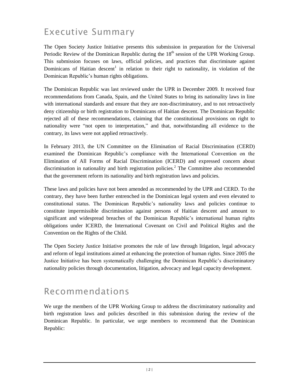# Executive Summary

The Open Society Justice Initiative presents this submission in preparation for the Universal Periodic Review of the Dominican Republic during the  $18<sup>th</sup>$  session of the UPR Working Group. This submission focuses on laws, official policies, and practices that discriminate against Dominicans of Haitian descent<sup>1</sup> in relation to their right to nationality, in violation of the Dominican Republic's human rights obligations.

The Dominican Republic was last reviewed under the UPR in December 2009. It received four recommendations from Canada, Spain, and the United States to bring its nationality laws in line with international standards and ensure that they are non-discriminatory, and to not retroactively deny citizenship or birth registration to Dominicans of Haitian descent. The Dominican Republic rejected all of these recommendations, claiming that the constitutional provisions on right to nationality were "not open to interpretation," and that, notwithstanding all evidence to the contrary, its laws were not applied retroactively.

In February 2013, the UN Committee on the Elimination of Racial Discrimination (CERD) examined the Dominican Republic's compliance with the International Convention on the Elimination of All Forms of Racial Discrimination (ICERD) and expressed concern about discrimination in nationality and birth registration policies.<sup>2</sup> The Committee also recommended that the government reform its nationality and birth registration laws and policies.

These laws and policies have not been amended as recommended by the UPR and CERD. To the contrary, they have been further entrenched in the Dominican legal system and even elevated to constitutional status. The Dominican Republic's nationality laws and policies continue to constitute impermissible discrimination against persons of Haitian descent and amount to significant and widespread breaches of the Dominican Republic's international human rights obligations under ICERD, the International Covenant on Civil and Political Rights and the Convention on the Rights of the Child.

The Open Society Justice Initiative promotes the rule of law through litigation, legal advocacy and reform of legal institutions aimed at enhancing the protection of human rights. Since 2005 the Justice Initiative has been systematically challenging the Dominican Republic's discriminatory nationality policies through documentation, litigation, advocacy and legal capacity development.

## Recommendations

We urge the members of the UPR Working Group to address the discriminatory nationality and birth registration laws and policies described in this submission during the review of the Dominican Republic. In particular, we urge members to recommend that the Dominican Republic: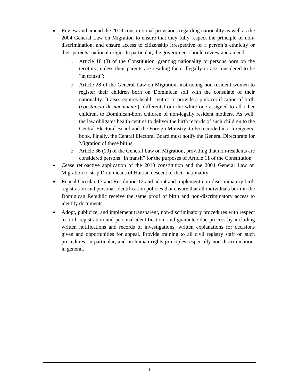- Review and amend the 2010 constitutional provisions regarding nationality as well as the 2004 General Law on Migration to ensure that they fully respect the principle of nondiscrimination, and ensure access to citizenship irrespective of a person's ethnicity or their parents' national origin. In particular, the government should review and amend
	- o Article 18 (3) of the Constitution, granting nationality to persons born on the territory, unless their parents are residing there illegally or are considered to be "in transit":
	- o Article 28 of the General Law on Migration, instructing non-resident women to register their children born on Dominican soil with the consulate of their nationality. It also requires health centres to provide a pink certification of birth (*constancia de nacimiento*), different from the white one assigned to all other children, to Dominican-born children of non-legally resident mothers. As well, the law obligates health centres to deliver the birth records of such children to the Central Electoral Board and the Foreign Ministry, to be recorded in a foreigners' book. Finally, the Central Electoral Board must notify the General Directorate for Migration of these births;
	- o Article 36 (10) of the General Law on Migration, providing that non-residents are considered persons "in transit" for the purposes of Article 11 of the Constitution.
- Cease retroactive application of the 2010 constitution and the 2004 General Law on Migration to strip Dominicans of Haitian descent of their nationality.
- Repeal Circular 17 and Resolution 12 and adopt and implement non-discriminatory birth registration and personal identification policies that ensure that all individuals born in the Dominican Republic receive the same proof of birth and non-discriminatory access to identity documents.
- Adopt, publicize, and implement transparent, non-discriminatory procedures with respect to birth registration and personal identification, and guarantee due process by including written notifications and records of investigations, written explanations for decisions given and opportunities for appeal. Provide training to all civil registry staff on such procedures, in particular, and on human rights principles, especially non-discrimination, in general.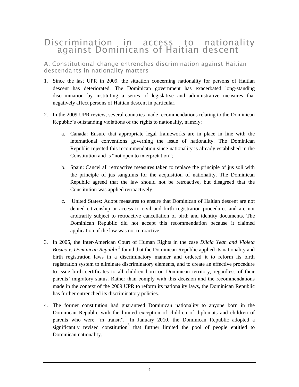### Discrimination in access to nationality against Dominicans of Haitian descent

A. Constitutional change entrenches discrimination against Haitian descendants in nationality matters

- 1. Since the last UPR in 2009, the situation concerning nationality for persons of Haitian descent has deteriorated. The Dominican government has exacerbated long-standing discrimination by instituting a series of legislative and administrative measures that negatively affect persons of Haitian descent in particular.
- 2. In the 2009 UPR review, several countries made recommendations relating to the Dominican Republic's outstanding violations of the rights to nationality, namely:
	- a. Canada: Ensure that appropriate legal frameworks are in place in line with the international conventions governing the issue of nationality. The Dominican Republic rejected this recommendation since nationality is already established in the Constitution and is "not open to interpretation";
	- b. Spain: Cancel all retroactive measures taken to replace the principle of jus soli with the principle of jus sanguinis for the acquisition of nationality. The Dominican Republic agreed that the law should not be retroactive, but disagreed that the Constitution was applied retroactively;
	- c. United States: Adopt measures to ensure that Dominican of Haitian descent are not denied citizenship or access to civil and birth registration procedures and are not arbitrarily subject to retroactive cancellation of birth and identity documents. The Dominican Republic did not accept this recommendation because it claimed application of the law was not retroactive.
- 3. In 2005, the Inter-American Court of Human Rights in the case *Dilcia Yean and Violeta*  Bosico v. Dominican Republic<sup>3</sup> found that the Dominican Republic applied its nationality and birth registration laws in a discriminatory manner and ordered it to reform its birth registration system to eliminate discriminatory elements, and to create an effective procedure to issue birth certificates to all children born on Dominican territory, regardless of their parents' migratory status. Rather than comply with this decision and the recommendations made in the context of the 2009 UPR to reform its nationality laws, the Dominican Republic has further entrenched its discriminatory policies.
- 4. The former constitution had guaranteed Dominican nationality to anyone born in the Dominican Republic with the limited exception of children of diplomats and children of parents who were "in transit".<sup>4</sup> In January 2010, the Dominican Republic adopted a significantly revised constitution<sup>5</sup> that further limited the pool of people entitled to Dominican nationality.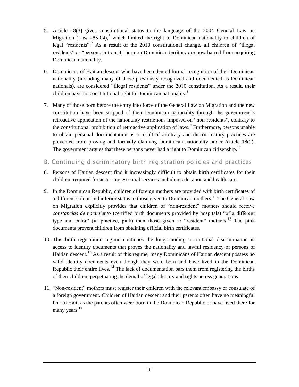- 5. Article 18(3) gives constitutional status to the language of the 2004 General Law on Migration (Law 285-04),<sup>6</sup> which limited the right to Dominican nationality to children of legal "residents".<sup>7</sup> As a result of the 2010 constitutional change, all children of "illegal residents" or "persons in transit" born on Dominican territory are now barred from acquiring Dominican nationality.
- 6. Dominicans of Haitian descent who have been denied formal recognition of their Dominican nationality (including many of those previously recognized and documented as Dominican nationals), are considered "illegal residents" under the 2010 constitution. As a result, their children have no constitutional right to Dominican nationality.<sup>8</sup>
- 7. Many of those born before the entry into force of the General Law on Migration and the new constitution have been stripped of their Dominican nationality through the government's retroactive application of the nationality restrictions imposed on "non-residents", contrary to the constitutional prohibition of retroactive application of laws.<sup>9</sup> Furthermore, persons unable to obtain personal documentation as a result of arbitrary and discriminatory practices are prevented from proving and formally claiming Dominican nationality under Article 18(2). The government argues that these persons never had a right to Dominican citizenship.<sup>10</sup>
- B. Continuing discriminatory birth registration policies and practices
- 8. Persons of Haitian descent find it increasingly difficult to obtain birth certificates for their children, required for accessing essential services including education and health care.
- 9. In the Dominican Republic, children of foreign mothers are provided with birth certificates of a different colour and inferior status to those given to Dominican mothers.<sup>11</sup> The General Law on Migration explicitly provides that children of "non-resident" mothers should receive *constancias de nacimiento* (certified birth documents provided by hospitals) "of a different type and color" (in practice, pink) than those given to "resident" mothers.<sup>12</sup> The pink documents prevent children from obtaining official birth certificates.
- 10. This birth registration regime continues the long-standing institutional discrimination in access to identity documents that proves the nationality and lawful residency of persons of Haitian descent.<sup>13</sup> As a result of this regime, many Dominicans of Haitian descent possess no valid identity documents even though they were born and have lived in the Dominican Republic their entire lives.<sup>14</sup> The lack of documentation bars them from registering the births of their children, perpetuating the denial of legal identity and rights across generations.
- 11. "Non-resident" mothers must register their children with the relevant embassy or consulate of a foreign government. Children of Haitian descent and their parents often have no meaningful link to Haiti as the parents often were born in the Dominican Republic or have lived there for many years.<sup>15</sup>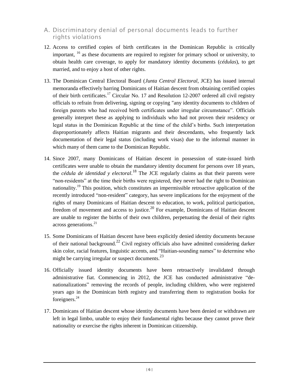#### A. Discriminatory denial of personal documents leads to further rights violations

- 12. Access to certified copies of birth certificates in the Dominican Republic is critically important, <sup>16</sup> as these documents are required to register for primary school or university, to obtain health care coverage, to apply for mandatory identity documents (*cédulas*), to get married, and to enjoy a host of other rights.
- 13. The Dominican Central Electoral Board (*Junta Central Electoral*, JCE) has issued internal memoranda effectively barring Dominicans of Haitian descent from obtaining certified copies of their birth certificates.<sup>17</sup> Circular No. 17 and Resolution 12-2007 ordered all civil registry officials to refrain from delivering, signing or copying "any identity documents to children of foreign parents who had received birth certificates under irregular circumstance". Officials generally interpret these as applying to individuals who had not proven their residency or legal status in the Dominican Republic at the time of the child's births. Such interpretation disproportionately affects Haitian migrants and their descendants, who frequently lack documentation of their legal status (including work visas) due to the informal manner in which many of them came to the Dominican Republic.
- 14. Since 2007, many Dominicans of Haitian descent in possession of state-issued birth certificates were unable to obtain the mandatory identity document for persons over 18 years, the *cédula de identidad y electoral*. <sup>18</sup> The JCE regularly claims as that their parents were "non-residents" at the time their births were registered, they never had the right to Dominican nationality.<sup>19</sup> This position, which constitutes an impermissible retroactive application of the recently introduced "non-resident" category, has severe implications for the enjoyment of the rights of many Dominicans of Haitian descent to education, to work, political participation, freedom of movement and access to justice.<sup>20</sup> For example, Dominicans of Haitian descent are unable to register the births of their own children, perpetuating the denial of their rights across generations. 21
- 15. Some Dominicans of Haitian descent have been explicitly denied identity documents because of their national background.<sup>22</sup> Civil registry officials also have admitted considering darker skin color, racial features, linguistic accents, and "Haitian-sounding names" to determine who might be carrying irregular or suspect documents. $^{23}$
- 16. Officially issued identity documents have been retroactively invalidated through administrative fiat. Commencing in 2012, the JCE has conducted administrative "denationalizations" removing the records of people, including children, who were registered years ago in the Dominican birth registry and transferring them to registration books for foreigners.<sup>24</sup>
- 17. Dominicans of Haitian descent whose identity documents have been denied or withdrawn are left in legal limbo, unable to enjoy their fundamental rights because they cannot prove their nationality or exercise the rights inherent in Dominican citizenship.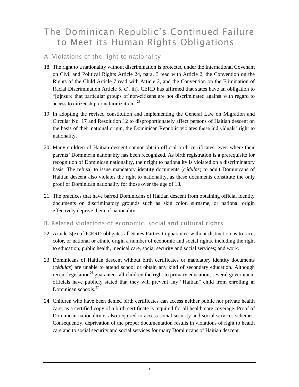# The Dominican Republic's Continued Failure to Meet its Human Rights Obligations

#### A. Violations of the right to nationality

- 18. The right to a nationality without discrimination is protected under the International Covenant on Civil and Political Rights Article 24, para. 3 read with Article 2, the Convention on the Rights of the Child Article 7 read with Article 2, and the Convention on the Elimination of Racial Discrimination Article 5, d), iii). CERD has affirmed that states have an obligation to "[e]nsure that particular groups of non-citizens are not discriminated against with regard to access to citizenship or naturalization".<sup>25</sup>
- 19. In adopting the revised constitution and implementing the General Law on Migration and Circular No. 17 and Resolution 12 to disproportionately affect persons of Haitian descent on the basis of their national origin, the Dominican Republic violates these individuals' right to nationality.
- 20. Many children of Haitian descent cannot obtain official birth certificates, even where their parents' Dominican nationality has been recognized. As birth registration is a prerequisite for recognition of Dominican nationality, their right to nationality is violated on a discriminatory basis. The refusal to issue mandatory identity documents (*cédulas*) to adult Dominicans of Haitian descent also violates the right to nationality, as these documents constitute the only proof of Dominican nationality for those over the age of 18.
- 21. The practices that have barred Dominicans of Haitian descent from obtaining official identity documents on discriminatory grounds such as skin color, surname, or national origin effectively deprive them of nationality.
- B. Related violations of economic, social and cultural rights
- 22. Article 5(e) of ICERD obligates all States Parties to guarantee without distinction as to race, color, or national or ethnic origin a number of economic and social rights, including the right to education; public health, medical care, social security and social services; and work.
- 23. Dominicans of Haitian descent without birth certificates or mandatory identity documents (*cédulas*) are unable to attend school or obtain any kind of secondary education. Although recent legislation<sup>26</sup> guarantees all children the right to primary education, several government officials have publicly stated that they will prevent any "Haitian" child from enrolling in Dominican schools<sup>27</sup>
- 24. Children who have been denied birth certificates can access neither public nor private health care, as a certified copy of a birth certificate is required for all health care coverage. Proof of Dominican nationality is also required to access social security and social services schemes. Consequently, deprivation of the proper documentation results in violations of right to health care and to social security and social services for many Dominicans of Haitian descent.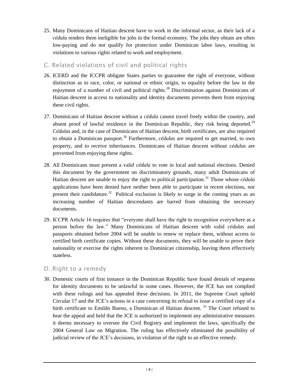- 25. Many Dominicans of Haitian descent have to work in the informal sector, as their lack of a *cédula* renders them ineligible for jobs in the formal economy. The jobs they obtain are often low-paying and do not qualify for protection under Dominican labor laws, resulting in violations to various rights related to work and employment.
- C. Related violations of civil and political rights
- 26. ICERD and the ICCPR obligate States parties to guarantee the right of everyone, without distinction as to race, color, or national or ethnic origin, to equality before the law in the enjoyment of a number of civil and political rights.<sup>28</sup> Discrimination against Dominicans of Haitian descent in access to nationality and identity documents prevents them from enjoying these civil rights.
- 27. Dominicans of Haitian descent without a *cédula* cannot travel freely within the country, and absent proof of lawful residence in the Dominican Republic, they risk being deported.<sup>29</sup> *Cédulas* and, in the case of Dominicans of Haitian descent, birth certificates, are also required to obtain a Dominican passport.<sup>30</sup> Furthermore, *cédulas* are required to get married, to own property, and to receive inheritances. Dominicans of Haitian descent without *cédulas* are prevented from enjoying these rights.
- 28. All Dominicans must present a valid *cédula* to vote in local and national elections. Denied this document by the government on discriminatory grounds, many adult Dominicans of Haitian descent are unable to enjoy the right to political participation. <sup>31</sup> Those whose *cédula* applications have been denied have neither been able to participate in recent elections, nor present their candidature.<sup>32</sup> Political exclusion is likely to surge in the coming years as an increasing number of Haitian descendants are barred from obtaining the necessary documents.
- 29. ICCPR Article 16 requires that "everyone shall have the right to recognition everywhere as a person before the law." Many Dominicans of Haitian descent with valid *cédulas* and passports obtained before 2004 will be unable to renew or replace them, without access to certified birth certificate copies. Without these documents, they will be unable to prove their nationality or exercise the rights inherent to Dominican citizenship, leaving them effectively stateless.

#### D. Right to a remedy

30. Domestic courts of first instance in the Dominican Republic have found denials of requests for identity documents to be unlawful in some cases. However, the JCE has not complied with these rulings and has appealed these decisions. In 2011, the Supreme Court upheld Circular 17 and the JCE's actions in a case concerning its refusal to issue a certified copy of a birth certificate to Emildo Bueno, a Dominican of Haitian descent.<sup>33</sup> The Court refused to hear the appeal and held that the JCE is authorized to implement any administrative measures it deems necessary to oversee the Civil Registry and implement the laws, specifically the 2004 General Law on Migration. The ruling has effectively eliminated the possibility of judicial review of the JCE's decisions, in violation of the right to an effective remedy.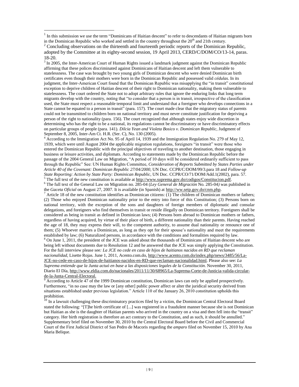$\overline{a}$ 

<sup>3</sup> In 2005, the Inter-American Court of Human Rights issued a landmark judgment against the Dominican Republic affirming that these polices discriminated against Dominicans of Haitian descent and left them vulnerable to statelessness. The case was brought by two young girls of Dominican descent who were denied Dominican birth certificates even though their mothers were born in the Dominican Republic and possessed valid *cédulas*. In its judgment, the Inter-American Court found that the Dominican Republic was misapplying the "in transit" constitutional exception to deprive children of Haitian descent of their right to Dominican nationality, making them vulnerable to statelessness. The court ordered the State not to adopt arbitrary rules that ignore the enduring links that long term migrants develop with the country, noting that "to consider that a person is in transit, irrespective of the classification used, the State must respect a reasonable temporal limit and understand that a foreigner who develops connections in a State cannot be equated to a person in transit" (para. 157). The court made clear that the migratory status of parents could not be transmitted to children born on national territory and must never constitute justification for depriving a person of the right to nationality (para. 156). The court recognized that although states enjoy wide discretion in determining who has the right to be a national, its regulations cannot be discriminatory or have discriminatory effects on particular groups of people (para. 141). *Dilcia Yean and Violeta Bosico v. Dominican Republic,* Judgment of September 8, 2005, Inter-Am Ct. H.R. (Ser. C), No. 130 (2005).

<sup>4</sup> According to the Immigration Act No. 95 of April 14, 1939 and the Immigration Regulation No. 279 of May 12, 1939, which were until August 2004 the applicable migration regulations, foreigners "in transit" were those who entered the Dominican Republic with the principal objectives of traveling to another destination, those engaging in business or leisure activities, and diplomats. According to statements made by the Dominican Republic before the passage of the 2004 General Law on Migration, "A period of 10 days will be considered ordinarily sufficient to pass through the Republic" See: UN Human Rights Committee, *Consideration of Reports Submitted by States Parties under Article 40 of the Covenant: Dominican Republic 27/04/2000*, UN Doc. CCPR/C/DOM/99/3.para 18 and *Follow-up State Reporting: Action by State Party: Dominican Republic*, UN Doc. CCPR/CO/71/DOM/Add.1(2002), para. 57.  $5$  The full text of the new constitution is available a[t http://www.suprema.gov.do/codigos/Constitucion.pdf.](http://www.suprema.gov.do/codigos/Constitucion.pdf)

<sup>6</sup> The full text of the General Law on Migration no. 285-04 (*Ley General de Migración* No. 285-04*)* was published in the *Gaceta Oficial* on August 27, 2007. It is available (in Spanish) a[t http://ww.seip.gov.do/cnm.php.](http://ww.seip.gov.do/cnm.php) 

 $^7$  Article 18 of the new constitution identifies as Dominican citizens: (1) The children of Dominican mothers or fathers; (2) Those who enjoyed Dominican nationality prior to the entry into force of this Constitution; (3) Persons born on national territory, with the exception of the sons and daughters of foreign members of diplomatic and consular delegations, and foreigners who find themselves in transit or reside illegally on Dominican territory. Foreigners shall be considered as being in transit as defined in Dominican laws; (4) Persons born abroad to Dominican mothers or fathers, regardless of having acquired, by virtue of their place of birth, a different nationality than their parents. Having reached the age of 18, they may express their will, to the competent authority, to assume dual nationality or renounce one of them; (5) Whoever marries a Dominican, as long as they opt for their spouse's nationality and meet the requirements established by law; (6) Naturalized persons, in accordance with the conditions and formalities required by law.

<sup>8</sup> On June 1, 2011, the president of the JCE was asked about the thousands of Dominicans of Haitian descent who are being left without documents due to Resolution 12 and he answered that the JCE was simply applying the Constitution. For the full interview please see*: La JCE no cede en caso de hijos de haitianos nacidos en RD que reclaman nacionalidad*, Lisette Rojas. June 1, 2011, Acento.com.do, [http://www.acento.com.do/index.php/news/3485/56/La-](http://www.acento.com.do/index.php/news/3485/56/La-JCE-no-cede-en-caso-de-hijos-de-haitianos-nacidos-en-RD-que-reclaman-nacionalidad.html)[JCE-no-cede-en-caso-de-hijos-de-haitianos-nacidos-en-RD-que-reclaman-nacionalidad.html.](http://www.acento.com.do/index.php/news/3485/56/La-JCE-no-cede-en-caso-de-hijos-de-haitianos-nacidos-en-RD-que-reclaman-nacionalidad.html) Please also see: *La Suprema entiende que la Junta actuó en base a las disposiciones legales de la Constitución*. November 30, 2011, Diario El Día, [http://www.eldia.com.do/nacionales/2011/11/30/68965/La-Suprema-Corte-de-Justicia-valida-circular](http://www.eldia.com.do/nacionales/2011/11/30/68965/La-Suprema-Corte-de-Justicia-valida-circular-de-la-Junta-Central-Electoral)[de-la-Junta-Central-Electoral.](http://www.eldia.com.do/nacionales/2011/11/30/68965/La-Suprema-Corte-de-Justicia-valida-circular-de-la-Junta-Central-Electoral)

<sup>9</sup> According to Article 47 of the 1999 Dominican constitution, Dominican laws can only be applied prospectively. Furthermore, "in no case may the law or [any other] public power affect or alter the juridical security derived from situations established under previous legislation." Article 110 of the January 26, 2010 constitution upholds this prohibition.

<sup>10</sup> In a lawsuit challenging these discriminatory practices filed by a victim, the Dominican Central Electoral Board stated the following: "[T]he birth certificate of [...] was registered in a fraudulent manner because she is not Dominican but Haitian as she is the daughter of Haitian parents who arrived in the country on a visa and then fell into the "transit" category. Her birth registration is therefore an act contrary to the Constitution, and as such, it should be annulled." Supplementary brief filed on November 30, 2010 by the Central Electoral Board before the Civil and Commercial Court of the First Judicial District of San Pedro de Macoris regarding the *amparo* filed on November 15, 2010 by Ana Maria Belique.

<sup>1</sup> In this submission we use the term "Dominicans of Haitian descent" to refer to descendants of Haitian migrants born in the Dominican Republic who worked and settled in the country throughout the  $20<sup>th</sup>$  and 21th century.

 $2^2$  Concluding observations on the thirteenth and fourteenth periodic reports of the Dominican Republic, adopted by the Committee at its eighty-second session, 19 April 2013, CERD/C/DOM/CO/13-14, paras. 18-20.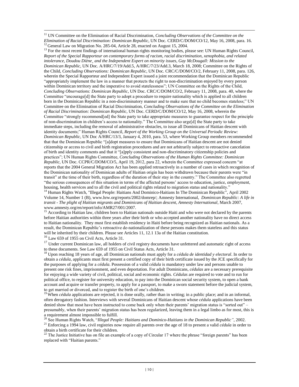<sup>11</sup> UN Committee on the Elimination of Racial Discrimination, *Concluding Observations of the Committee on the Elimination of Racial Discrimination: Dominican Republic*, UN Doc. CERD/C/DOM/CO/12, May 16, 2008, para. 16. <sup>12</sup> General Law on Migration No. 285-04, Article 28, enacted on August 15, 2004.

 $\overline{a}$ 

<sup>13</sup> For the most recent findings of international human rights monitoring bodies, please see: UN Human Rights Council, *Report of the Special Rapporteur on contemporary forms of racism, racial discrimination, xenophobia, and related intolerance, Doudou Diène¸ and the Independent Expert on minority issues, Gay McDougall: Mission to the Dominican Republic*, UN Doc. A/HRC/7/19/Add.5, A/HRC/7/23/Add.3, March 18, 2008; Committee on the Rights of the Child, *Concluding Observations: Dominican Republic*, UN Doc. CRC/C/DOM/CO/2, February 11, 2008, para. 126, wherein the Special Rapporteur and Independent Expert issued a joint recommendation that the Dominican Republic "appropriately implement the law in a manner that protects the right to non-discrimination enjoyed by every person within Dominican territory and the imperative to avoid statelessness"; UN Committee on the Rights of the Child, *Concluding Observations: Dominican Republic*, UN Doc. CRC/C/DOM/CO/2, February 11, 2008, para. 40, where the Committee "encourage[d] the State party to adopt a procedure to require nationality which is applied to all children born in the Dominican Republic in a non-discriminatory manner and to make sure that no child becomes stateless;" UN Committee on the Elimination of Racial Discrimination, *Concluding Observations of the Committee on the Elimination of Racial Discrimination: Dominican Republic,* UN Doc. CERD/C/DOM/CO/12, May 16, 2008, wherein the Committee "strongly recommend[ed] the State party to take appropriate measures to guarantee respect for the principle of non-discrimination in children's access to nationality." The Committee also urge[d] the State party to take immediate steps, including the removal of administrative obstacles, to issue all Dominicans of Haitian descent with identity documents;" Human Rights Council, *Report of the Working Group on the Universal Periodic Review: Dominican Republic*, UN Doc A/HRC/13/3, January 4, 2010, para. 53, where Working Group members recommended that that the Dominican Republic "[a]dopt measures to ensure that Dominicans of Haitian descent are not denied citizenship or access to civil and birth registration procedures and are not arbitrarily subject to retroactive cancelation of birth and identity comments and that it "[a]pply consistent and non-discriminatory citizenship policies and practices"; UN Human Rights Committee, *Concluding Observations of the Human Rights Committee: Dominican Republic,* UN Doc. CCPR/C/DOM/CO/5, April 19, 2012, para 22, wherein the Committee expressed concern "at reports that the 2004 General Migration Act has been applied retroactively in a number of cases in which recognition of the Dominican nationality of Dominican adults of Haitian origin has been withdrawn because their parents were "in transit" at the time of their birth, regardless of the duration of their stay in the country." The Committee also regretted "the serious consequences of this situation in terms of the affected persons' access to education, justice, employment, housing, health services and to all the civil and political rights related to migration status and nationality." <sup>14</sup> Human Rights Watch, "Illegal People: Haitians And Dominico-Haitians In The Dominican Republic", April 2002 Volume 14, Number 1 (B), www.hrw.org/reports/2002/domrep/; Amnesty International, *Dominican Republic: A life in transit - The plight of Haitian migrants and Dominicans of Haitian descent, Amnesty International*, March 2007, [www.amnesty.org/en/report/info/AMR27/001/2007.](file:///C:/Users/AppData/Local/AppData/Local/Microsoft/Local%20Settings/Local%20Settings/Temporary%20Internet%20Files/Local%20Settings/Temporary%20Internet%20Files/OLK9F/www.amnesty.org/en/report/info/AMR27/001/2007)

<sup>15</sup> According to Haitian law, children born to Haitian nationals outside Haiti and who were not declared by the parents before Haitian authorities within three years after their birth or who accepted another nationality have no direct access to Haitian nationality. They must first establish residency in Haiti before being recognized as Haitian nationals. As a result, the Dominican Republic's retroactive de-nationalization of these persons makes them stateless and this status will be inherited by their children. Please see Articles 11, 12.1 13a of the Haitian constitution. <sup>16</sup> Law 659 of 1955 on Civil Acts, Article 31.

<sup>17</sup> Under current Dominican law, all holders of civil registry documents have unfettered and automatic right of access to these documents. See Law 659 of 1955 on Civil Status Acts, Article 31.

<sup>18</sup> Upon reaching 18 years of age, all Dominican nationals must apply for a *cédula de identidad y electoral*. In order to obtain a *cédula,* applicants must first present a certified copy of their birth certificate issued by the JCE specifically for the purposes of applying for a *cédula*. Possession of a valid *cédula* is mandatory under law and persons unable to present one risk fines, imprisonment, and even deportation. For adult Dominicans, *cédulas* are a necessary prerequisite for enjoying a wide variety of civil, political, social and economic rights. *Cédulas* are required to vote and to run for political office, to register for university education, to pay into the Dominican social security system, to open a bank account and acquire or transfer property, to apply for a passport, to make a sworn statement before the judicial system, to get married or divorced, and to register the birth of one's children.

<sup>19</sup> When *cédula* applications are rejected, it is done orally, rather than in writing; in a public place; and in an informal, often derogatory fashion. Interviews with several Dominicans of Haitian descent whose *cédula* applications have been denied show that most have been instructed to come back only when their parents' migration status is "sorted out" – presumably, when their parents' migration status has been regularized, leaving them in a legal limbo as for most, this is a requirement almost impossible to fulfill.

<sup>20</sup> See Human Rights Watch, "*Illegal People: Haitians and Dominico-Haitians in the Dominican Republic"*, 2002. <sup>21</sup> Enforcing a 1994 law, civil registries now require all parents over the age of 18 to present a valid *cédula* in order to obtain a birth certificate for their children.

 $^{22}$  The Justice Initiative has on file an example of a copy of Circular 17 where the phrase "foreign parents" has been replaced with "Haitian parents."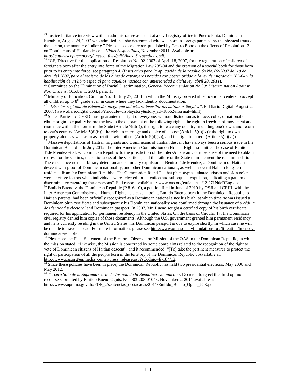<sup>23</sup> Justice Initiative interview with an administrative assistant at a civil registry office in Puerto Plata, Dominican Republic, August 24, 2007 who admitted that she determined who was born to foreign parents "by the physical traits of the person, the manner of talking." Please also see a report published by Centro Bono on the effects of Resolution 12 on Dominicans of Haitian descent. *Vidas Suspendidas,* November 2011. Available at: *[http://catunescopucmm.org/unesco\\_files/pdf/Vidas\\_Suspendidas.pdf.](http://catunescopucmm.org/unesco_files/pdf/Vidas_Suspendidas.pdf)* 

 $\overline{a}$ 

<sup>24</sup> JCE, Directive for the application of Resolution No. 02-2007 of April 18, 2007, for the registration of children of foreigners born after the entry into force of the Migration Law 285-04 and the creation of a special book for those born prior to its entry into force, see paragraph 4. (*Instructivo para la aplicación de la resolución No. 02-2007 del 18 de abril del 2007, para el registro de los hijos de extranjeros nacidos con posterioridad a la ley de migración 285-04 y la habilitación de un libro especial para aquellos nacidos con anterioridad a dicha ley*, *abril 28, 2011*).

<sup>25</sup> Committee on the Elimination of Racial Discrimination, *General Recommendation No.30: Discrimination Against Non Citizens,* October 1, 2004, para. 13.

<sup>26</sup> Ministry of Education. Circular No. 18, July 27, 2011 in which the Ministry ordered all educational centers to accept all children up to  $8<sup>th</sup>$  grade even in cases where they lack identity documentation.

<sup>27</sup> *"Director regional de Educación niega que autorizara inscribir los haitianos ilegales",* El Diario Digital, August 2, 2007, [\(www.diariodigital.com.do/?module=displaystory&story\\_id=18562&format=html\)](file:///C:/Users/AppData/Local/AppData/Local/Microsoft/Local%20Settings/Local%20Settings/Temporary%20Internet%20Files/Local%20Settings/Temporary%20Internet%20Files/OLK9F/www.diariodigital.com.do/%3fmodule=displaystory&story_id=18562&format=html).

 $2<sup>28</sup>$  States Parties to ICERD must guarantee the right of everyone, without distinction as to race, color, or national or ethnic origin to equality before the law in the enjoyment of the following rights: the right to freedom of movement and residence within the border of the State (Article  $5(d)(i)$ ); the right to leave any country, including one's own, and return to one's country (Article  $5(d)(ii)$ ); the right to marriage and choice of spouse (Article  $5(d)(iv)$ ); the right to own property alone as well as in association with others (Article  $5(d)(v)$ ); and the right to inherit (Article  $5(d)(vi)$ ).

<sup>29</sup> Massive deportations of Haitian migrants and Dominicans of Haitian descent have always been a serious issue in the Dominican Republic. In July 2012, the Inter American Commission on Human Rights submitted the case of Benito Tide Mendez et al. v. Dominican Republic to the jurisdiction of the Inter-American Court because of the need to obtain redress for the victims, the seriousness of the violations, and the failure of the State to implement the recommendation. The case concerns the arbitrary detention and summary expulsion of Benito Tide Méndez, a Dominican of Haitian descent with proof of Dominican nationality, and other Dominican nationals, as well as several Haitian long-term residents, from the Dominican Republic. The Commission found "…that phenotypical characteristics and skin color were decisive factors when individuals were selected for detention and subsequent expulsion, indicating a pattern of discrimination regarding these persons". Full report available at: [www.oas.org/en/iachr/.../12.271NdeREng.doc](http://www.oas.org/en/iachr/.../12.271NdeREng.doc).

 $30$  Emildo Bueno v. the Dominican Republic (P 816-10), a petition filed in June of 2010 by OSJI and CEJIL with the Inter-American Commission on Human Rights, is a case in point. Emildo Bueno, born in the Dominican Republic to Haitian parents, had been officially recognized as a Dominican national since his birth, at which time he was issued a Dominican birth certificate and subsequently his Dominican nationality was confirmed through the issuance of a *cédula de identidad y electoral* and Dominican passport. In 2007, Mr. Bueno sought a certified copy of his birth certificate required for his application for permanent residency in the United States. On the basis of Circular 17, the Dominican civil registry denied him copies of those documents. Although the U.S. government granted him permanent residency and he is currently residing in the United States, his Dominican passport is due to expire shortly, in which case he will be unable to travel abroad. For more information, please see [http://www.opensocietyfoundations.org/litigation/bueno-v-](http://www.opensocietyfoundations.org/litigation/bueno-v-dominican-republic) $\frac{\text{dominican-republic}}{31 \text{ places}}$ 

<sup>31</sup> Please see the Final Statement of the Electoral Observation Mission of the OAS in the Dominican Republic, in which the mission stated: "Likewise, the Mission is concerned by some complaints related to the recognition of the right to vote of Dominican citizens of Haitian descent", and it recommended: "[To] take the pertinent measures to protect the right of participation of all the people born in the territory of the Dominican Republic". Available at: [http://www.oas.org/en/media\\_center/press\\_release.asp?sCodigo=E-184/12.](http://www.oas.org/en/media_center/press_release.asp?sCodigo=E-184/12)

 $\frac{32}{2}$  Since these policies have been in place, the Dominican Republic has held two presidential elections: May 2008 and May 2012.

<sup>33</sup> *Tercera Sala de la Suprema Corte de Justicia de la República Dominicana*, Decision to reject the third opinion recourse submitted by Emildo Bueno Oguis, No. 003-208-01043, November 2, 2011 available at http://www.suprema.gov.do/PDF\_2/sentencias\_destacadas/2011/Emildo\_Bueno\_Oguis\_JCE.pdf